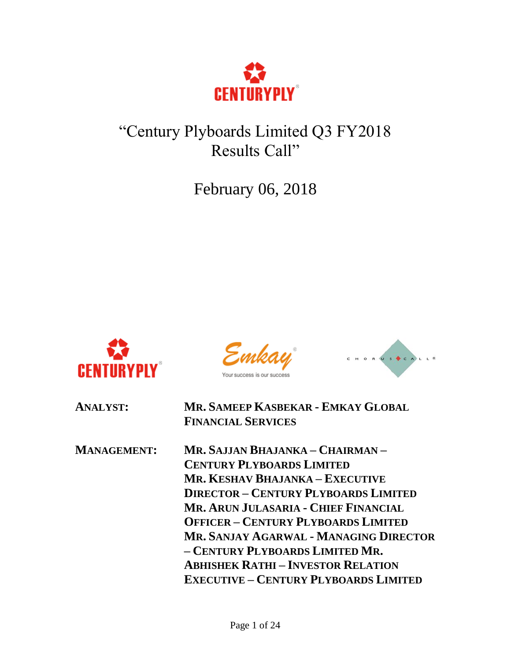

# "Century Plyboards Limited Q3 FY2018 Results Call"

February 06, 2018



Emkay Your success is our success



| <b>ANALYST:</b>    | MR. SAMEEP KASBEKAR - EMKAY GLOBAL<br><b>FINANCIAL SERVICES</b>                                                                                                                                                                                                                                                                                                                                                      |
|--------------------|----------------------------------------------------------------------------------------------------------------------------------------------------------------------------------------------------------------------------------------------------------------------------------------------------------------------------------------------------------------------------------------------------------------------|
| <b>MANAGEMENT:</b> | Mr. Sajjan Bhajanka – Chairman –<br><b>CENTURY PLYBOARDS LIMITED</b><br>MR. KESHAV BHAJANKA – EXECUTIVE<br><b>DIRECTOR - CENTURY PLYBOARDS LIMITED</b><br>MR. ARUN JULASARIA - CHIEF FINANCIAL<br><b>OFFICER - CENTURY PLYBOARDS LIMITED</b><br>MR. SANJAY AGARWAL - MANAGING DIRECTOR<br>- CENTURY PLYBOARDS LIMITED MR.<br><b>ABHISHEK RATHI-INVESTOR RELATION</b><br><b>EXECUTIVE - CENTURY PLYBOARDS LIMITED</b> |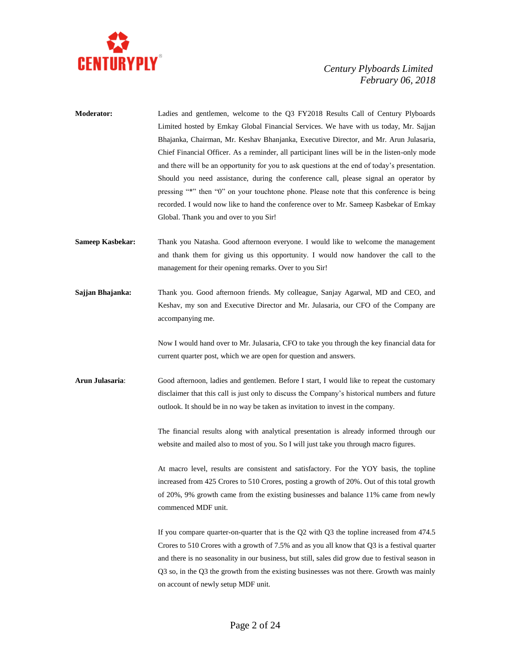

- **Moderator:** Ladies and gentlemen, welcome to the Q3 FY2018 Results Call of Century Plyboards Limited hosted by Emkay Global Financial Services. We have with us today, Mr. Sajjan Bhajanka, Chairman, Mr. Keshav Bhanjanka, Executive Director, and Mr. Arun Julasaria, Chief Financial Officer. As a reminder, all participant lines will be in the listen-only mode and there will be an opportunity for you to ask questions at the end of today's presentation. Should you need assistance, during the conference call, please signal an operator by pressing "\*" then "0" on your touchtone phone. Please note that this conference is being recorded. I would now like to hand the conference over to Mr. Sameep Kasbekar of Emkay Global. Thank you and over to you Sir!
- **Sameep Kasbekar:** Thank you Natasha. Good afternoon everyone. I would like to welcome the management and thank them for giving us this opportunity. I would now handover the call to the management for their opening remarks. Over to you Sir!
- **Sajjan Bhajanka:** Thank you. Good afternoon friends. My colleague, Sanjay Agarwal, MD and CEO, and Keshav, my son and Executive Director and Mr. Julasaria, our CFO of the Company are accompanying me.

Now I would hand over to Mr. Julasaria, CFO to take you through the key financial data for current quarter post, which we are open for question and answers.

**Arun Julasaria**: Good afternoon, ladies and gentlemen. Before I start, I would like to repeat the customary disclaimer that this call is just only to discuss the Company's historical numbers and future outlook. It should be in no way be taken as invitation to invest in the company.

> The financial results along with analytical presentation is already informed through our website and mailed also to most of you. So I will just take you through macro figures.

> At macro level, results are consistent and satisfactory. For the YOY basis, the topline increased from 425 Crores to 510 Crores, posting a growth of 20%. Out of this total growth of 20%, 9% growth came from the existing businesses and balance 11% came from newly commenced MDF unit.

> If you compare quarter-on-quarter that is the Q2 with Q3 the topline increased from 474.5 Crores to 510 Crores with a growth of 7.5% and as you all know that Q3 is a festival quarter and there is no seasonality in our business, but still, sales did grow due to festival season in Q3 so, in the Q3 the growth from the existing businesses was not there. Growth was mainly on account of newly setup MDF unit.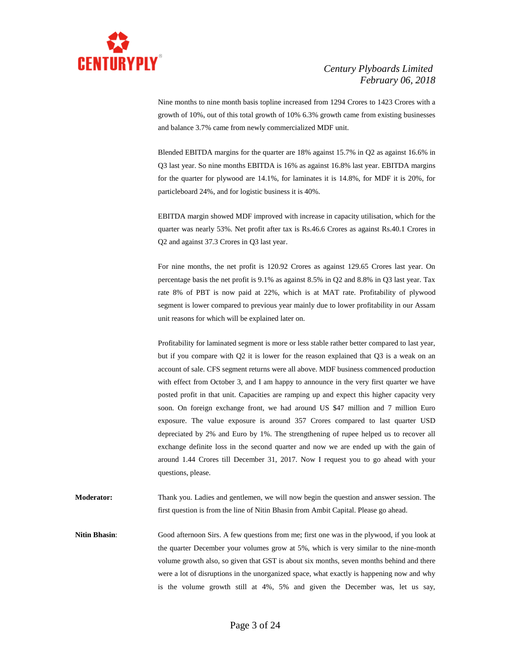

Nine months to nine month basis topline increased from 1294 Crores to 1423 Crores with a growth of 10%, out of this total growth of 10% 6.3% growth came from existing businesses and balance 3.7% came from newly commercialized MDF unit.

Blended EBITDA margins for the quarter are 18% against 15.7% in Q2 as against 16.6% in Q3 last year. So nine months EBITDA is 16% as against 16.8% last year. EBITDA margins for the quarter for plywood are 14.1%, for laminates it is 14.8%, for MDF it is 20%, for particleboard 24%, and for logistic business it is 40%.

EBITDA margin showed MDF improved with increase in capacity utilisation, which for the quarter was nearly 53%. Net profit after tax is Rs.46.6 Crores as against Rs.40.1 Crores in Q2 and against 37.3 Crores in Q3 last year.

For nine months, the net profit is 120.92 Crores as against 129.65 Crores last year. On percentage basis the net profit is 9.1% as against 8.5% in Q2 and 8.8% in Q3 last year. Tax rate 8% of PBT is now paid at 22%, which is at MAT rate. Profitability of plywood segment is lower compared to previous year mainly due to lower profitability in our Assam unit reasons for which will be explained later on.

Profitability for laminated segment is more or less stable rather better compared to last year, but if you compare with Q2 it is lower for the reason explained that Q3 is a weak on an account of sale. CFS segment returns were all above. MDF business commenced production with effect from October 3, and I am happy to announce in the very first quarter we have posted profit in that unit. Capacities are ramping up and expect this higher capacity very soon. On foreign exchange front, we had around US \$47 million and 7 million Euro exposure. The value exposure is around 357 Crores compared to last quarter USD depreciated by 2% and Euro by 1%. The strengthening of rupee helped us to recover all exchange definite loss in the second quarter and now we are ended up with the gain of around 1.44 Crores till December 31, 2017. Now I request you to go ahead with your questions, please.

**Moderator:** Thank you. Ladies and gentlemen, we will now begin the question and answer session. The first question is from the line of Nitin Bhasin from Ambit Capital. Please go ahead.

**Nitin Bhasin:** Good afternoon Sirs. A few questions from me; first one was in the plywood, if you look at the quarter December your volumes grow at 5%, which is very similar to the nine-month volume growth also, so given that GST is about six months, seven months behind and there were a lot of disruptions in the unorganized space, what exactly is happening now and why is the volume growth still at 4%, 5% and given the December was, let us say,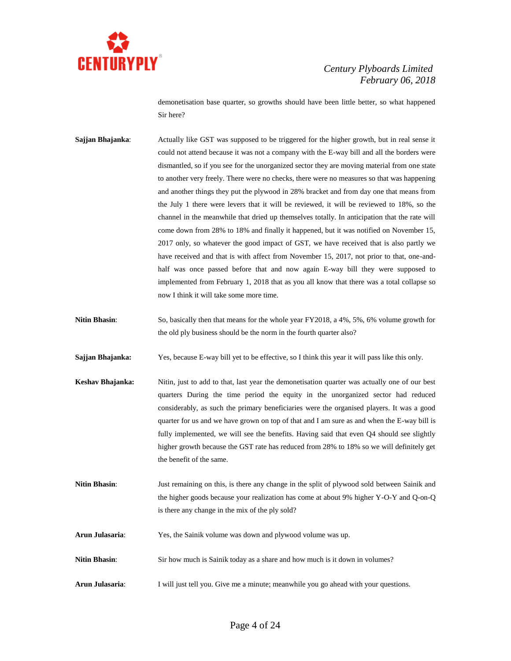

demonetisation base quarter, so growths should have been little better, so what happened Sir here?

- **Sajjan Bhajanka:** Actually like GST was supposed to be triggered for the higher growth, but in real sense it could not attend because it was not a company with the E-way bill and all the borders were dismantled, so if you see for the unorganized sector they are moving material from one state to another very freely. There were no checks, there were no measures so that was happening and another things they put the plywood in 28% bracket and from day one that means from the July 1 there were levers that it will be reviewed, it will be reviewed to 18%, so the channel in the meanwhile that dried up themselves totally. In anticipation that the rate will come down from 28% to 18% and finally it happened, but it was notified on November 15, 2017 only, so whatever the good impact of GST, we have received that is also partly we have received and that is with affect from November 15, 2017, not prior to that, one-andhalf was once passed before that and now again E-way bill they were supposed to implemented from February 1, 2018 that as you all know that there was a total collapse so now I think it will take some more time.
- **Nitin Bhasin:** So, basically then that means for the whole year FY2018, a 4%, 5%, 6% volume growth for the old ply business should be the norm in the fourth quarter also?

**Sajjan Bhajanka:** Yes, because E-way bill yet to be effective, so I think this year it will pass like this only.

- **Keshav Bhajanka:** Nitin, just to add to that, last year the demonetisation quarter was actually one of our best quarters During the time period the equity in the unorganized sector had reduced considerably, as such the primary beneficiaries were the organised players. It was a good quarter for us and we have grown on top of that and I am sure as and when the E-way bill is fully implemented, we will see the benefits. Having said that even Q4 should see slightly higher growth because the GST rate has reduced from 28% to 18% so we will definitely get the benefit of the same.
- **Nitin Bhasin:** Just remaining on this, is there any change in the split of plywood sold between Sainik and the higher goods because your realization has come at about 9% higher Y-O-Y and Q-on-Q is there any change in the mix of the ply sold?
- **Arun Julasaria**: Yes, the Sainik volume was down and plywood volume was up.
- **Nitin Bhasin:** Sir how much is Sainik today as a share and how much is it down in volumes?
- **Arun Julasaria**: I will just tell you. Give me a minute; meanwhile you go ahead with your questions.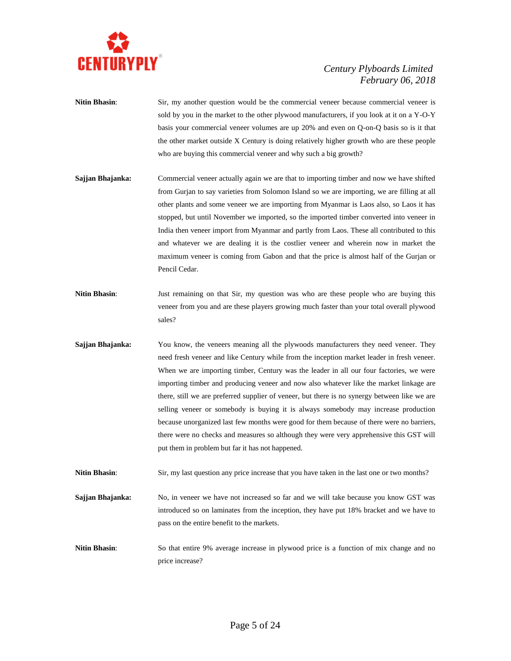

- **Nitin Bhasin**: Sir, my another question would be the commercial veneer because commercial veneer is sold by you in the market to the other plywood manufacturers, if you look at it on a Y-O-Y basis your commercial veneer volumes are up 20% and even on Q-on-Q basis so is it that the other market outside X Century is doing relatively higher growth who are these people who are buying this commercial veneer and why such a big growth?
- **Sajjan Bhajanka:** Commercial veneer actually again we are that to importing timber and now we have shifted from Gurjan to say varieties from Solomon Island so we are importing, we are filling at all other plants and some veneer we are importing from Myanmar is Laos also, so Laos it has stopped, but until November we imported, so the imported timber converted into veneer in India then veneer import from Myanmar and partly from Laos. These all contributed to this and whatever we are dealing it is the costlier veneer and wherein now in market the maximum veneer is coming from Gabon and that the price is almost half of the Gurjan or Pencil Cedar.
- **Nitin Bhasin:** Just remaining on that Sir, my question was who are these people who are buying this veneer from you and are these players growing much faster than your total overall plywood sales?
- **Sajjan Bhajanka:** You know, the veneers meaning all the plywoods manufacturers they need veneer. They need fresh veneer and like Century while from the inception market leader in fresh veneer. When we are importing timber, Century was the leader in all our four factories, we were importing timber and producing veneer and now also whatever like the market linkage are there, still we are preferred supplier of veneer, but there is no synergy between like we are selling veneer or somebody is buying it is always somebody may increase production because unorganized last few months were good for them because of there were no barriers, there were no checks and measures so although they were very apprehensive this GST will put them in problem but far it has not happened.

**Nitin Bhasin**: Sir, my last question any price increase that you have taken in the last one or two months?

**Sajjan Bhajanka:** No, in veneer we have not increased so far and we will take because you know GST was introduced so on laminates from the inception, they have put 18% bracket and we have to pass on the entire benefit to the markets.

**Nitin Bhasin:** So that entire 9% average increase in plywood price is a function of mix change and no price increase?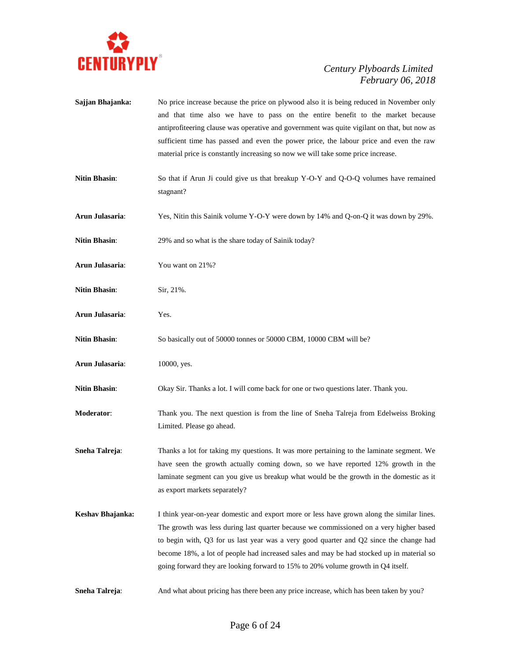

**Sajjan Bhajanka:** No price increase because the price on plywood also it is being reduced in November only and that time also we have to pass on the entire benefit to the market because antiprofiteering clause was operative and government was quite vigilant on that, but now as sufficient time has passed and even the power price, the labour price and even the raw material price is constantly increasing so now we will take some price increase. **Nitin Bhasin:** So that if Arun Ji could give us that breakup Y-O-Y and Q-O-Q volumes have remained stagnant? **Arun Julasaria**: Yes, Nitin this Sainik volume Y-O-Y were down by 14% and Q-on-Q it was down by 29%. Nitin Bhasin: 29% and so what is the share today of Sainik today? **Arun Julasaria**: You want on 21%? **Nitin Bhasin**: Sir, 21%. **Arun Julasaria**: Yes. **Nitin Bhasin:** So basically out of 50000 tonnes or 50000 CBM, 10000 CBM will be? **Arun Julasaria**: 10000, yes. **Nitin Bhasin**: Okay Sir. Thanks a lot. I will come back for one or two questions later. Thank you. **Moderator**: Thank you. The next question is from the line of Sneha Talreja from Edelweiss Broking Limited. Please go ahead. **Sneha Talreja:** Thanks a lot for taking my questions. It was more pertaining to the laminate segment. We have seen the growth actually coming down, so we have reported 12% growth in the laminate segment can you give us breakup what would be the growth in the domestic as it as export markets separately? **Keshav Bhajanka:** I think year-on-year domestic and export more or less have grown along the similar lines. The growth was less during last quarter because we commissioned on a very higher based to begin with, Q3 for us last year was a very good quarter and Q2 since the change had become 18%, a lot of people had increased sales and may be had stocked up in material so going forward they are looking forward to 15% to 20% volume growth in Q4 itself. **Sneha Talreja**: And what about pricing has there been any price increase, which has been taken by you?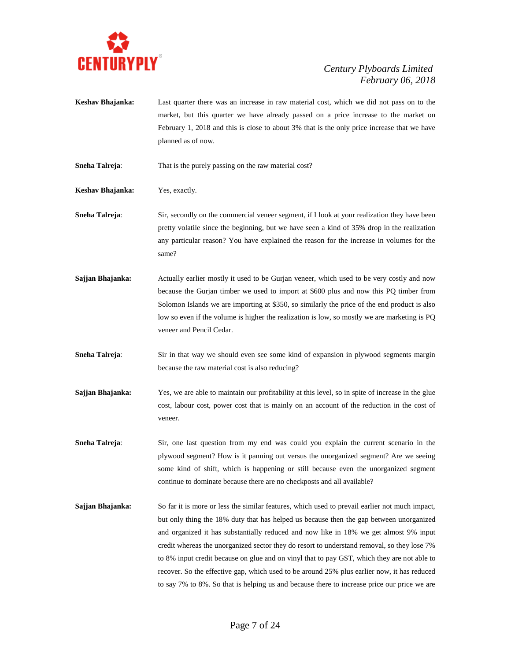

- **Keshav Bhajanka:** Last quarter there was an increase in raw material cost, which we did not pass on to the market, but this quarter we have already passed on a price increase to the market on February 1, 2018 and this is close to about 3% that is the only price increase that we have planned as of now.
- **Sneha Talreja:** That is the purely passing on the raw material cost?

**Keshav Bhajanka:** Yes, exactly.

- **Sneha Talreja:** Sir, secondly on the commercial veneer segment, if I look at your realization they have been pretty volatile since the beginning, but we have seen a kind of 35% drop in the realization any particular reason? You have explained the reason for the increase in volumes for the same?
- **Sajjan Bhajanka:** Actually earlier mostly it used to be Gurjan veneer, which used to be very costly and now because the Gurjan timber we used to import at \$600 plus and now this PQ timber from Solomon Islands we are importing at \$350, so similarly the price of the end product is also low so even if the volume is higher the realization is low, so mostly we are marketing is PQ veneer and Pencil Cedar.
- **Sneha Talreja:** Sir in that way we should even see some kind of expansion in plywood segments margin because the raw material cost is also reducing?
- **Sajjan Bhajanka:** Yes, we are able to maintain our profitability at this level, so in spite of increase in the glue cost, labour cost, power cost that is mainly on an account of the reduction in the cost of veneer.
- **Sneha Talreja:** Sir, one last question from my end was could you explain the current scenario in the plywood segment? How is it panning out versus the unorganized segment? Are we seeing some kind of shift, which is happening or still because even the unorganized segment continue to dominate because there are no checkposts and all available?
- **Sajjan Bhajanka:** So far it is more or less the similar features, which used to prevail earlier not much impact, but only thing the 18% duty that has helped us because then the gap between unorganized and organized it has substantially reduced and now like in 18% we get almost 9% input credit whereas the unorganized sector they do resort to understand removal, so they lose 7% to 8% input credit because on glue and on vinyl that to pay GST, which they are not able to recover. So the effective gap, which used to be around 25% plus earlier now, it has reduced to say 7% to 8%. So that is helping us and because there to increase price our price we are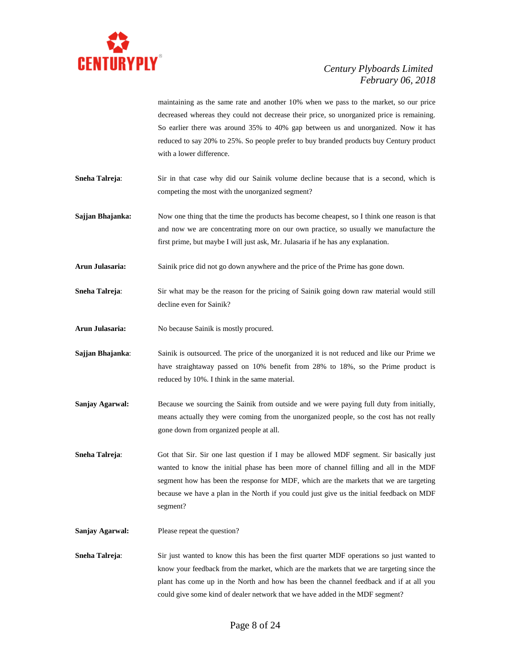

maintaining as the same rate and another 10% when we pass to the market, so our price decreased whereas they could not decrease their price, so unorganized price is remaining. So earlier there was around 35% to 40% gap between us and unorganized. Now it has reduced to say 20% to 25%. So people prefer to buy branded products buy Century product with a lower difference.

- **Sneha Talreja:** Sir in that case why did our Sainik volume decline because that is a second, which is competing the most with the unorganized segment?
- **Sajjan Bhajanka:** Now one thing that the time the products has become cheapest, so I think one reason is that and now we are concentrating more on our own practice, so usually we manufacture the first prime, but maybe I will just ask, Mr. Julasaria if he has any explanation.
- **Arun Julasaria:** Sainik price did not go down anywhere and the price of the Prime has gone down.
- **Sneha Talreja:** Sir what may be the reason for the pricing of Sainik going down raw material would still decline even for Sainik?
- **Arun Julasaria:** No because Sainik is mostly procured.
- **Sajjan Bhajanka**: Sainik is outsourced. The price of the unorganized it is not reduced and like our Prime we have straightaway passed on 10% benefit from 28% to 18%, so the Prime product is reduced by 10%. I think in the same material.
- **Sanjay Agarwal:** Because we sourcing the Sainik from outside and we were paying full duty from initially, means actually they were coming from the unorganized people, so the cost has not really gone down from organized people at all.
- **Sneha Talreja:** Got that Sir. Sir one last question if I may be allowed MDF segment. Sir basically just wanted to know the initial phase has been more of channel filling and all in the MDF segment how has been the response for MDF, which are the markets that we are targeting because we have a plan in the North if you could just give us the initial feedback on MDF segment?
- **Sanjay Agarwal:** Please repeat the question?
- **Sneha Talreja**: Sir just wanted to know this has been the first quarter MDF operations so just wanted to know your feedback from the market, which are the markets that we are targeting since the plant has come up in the North and how has been the channel feedback and if at all you could give some kind of dealer network that we have added in the MDF segment?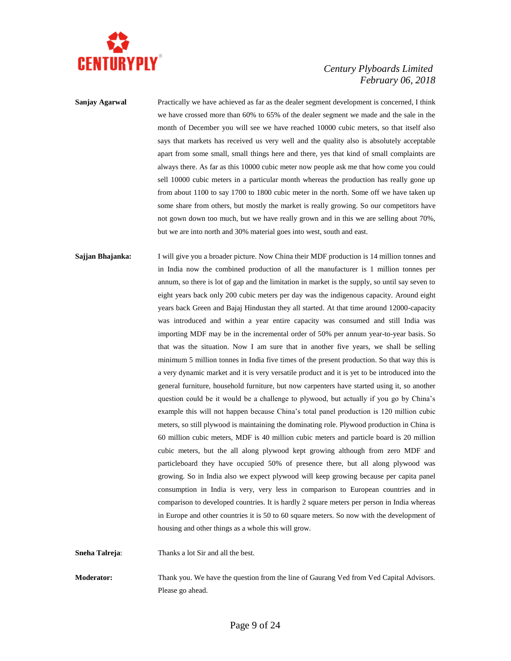

**Sanjay Agarwal** Practically we have achieved as far as the dealer segment development is concerned, I think we have crossed more than 60% to 65% of the dealer segment we made and the sale in the month of December you will see we have reached 10000 cubic meters, so that itself also says that markets has received us very well and the quality also is absolutely acceptable apart from some small, small things here and there, yes that kind of small complaints are always there. As far as this 10000 cubic meter now people ask me that how come you could sell 10000 cubic meters in a particular month whereas the production has really gone up from about 1100 to say 1700 to 1800 cubic meter in the north. Some off we have taken up some share from others, but mostly the market is really growing. So our competitors have not gown down too much, but we have really grown and in this we are selling about 70%, but we are into north and 30% material goes into west, south and east.

**Sajjan Bhajanka:** I will give you a broader picture. Now China their MDF production is 14 million tonnes and in India now the combined production of all the manufacturer is 1 million tonnes per annum, so there is lot of gap and the limitation in market is the supply, so until say seven to eight years back only 200 cubic meters per day was the indigenous capacity. Around eight years back Green and Bajaj Hindustan they all started. At that time around 12000-capacity was introduced and within a year entire capacity was consumed and still India was importing MDF may be in the incremental order of 50% per annum year-to-year basis. So that was the situation. Now I am sure that in another five years, we shall be selling minimum 5 million tonnes in India five times of the present production. So that way this is a very dynamic market and it is very versatile product and it is yet to be introduced into the general furniture, household furniture, but now carpenters have started using it, so another question could be it would be a challenge to plywood, but actually if you go by China's example this will not happen because China's total panel production is 120 million cubic meters, so still plywood is maintaining the dominating role. Plywood production in China is 60 million cubic meters, MDF is 40 million cubic meters and particle board is 20 million cubic meters, but the all along plywood kept growing although from zero MDF and particleboard they have occupied 50% of presence there, but all along plywood was growing. So in India also we expect plywood will keep growing because per capita panel consumption in India is very, very less in comparison to European countries and in comparison to developed countries. It is hardly 2 square meters per person in India whereas in Europe and other countries it is 50 to 60 square meters. So now with the development of housing and other things as a whole this will grow.

**Sneha Talreja**: Thanks a lot Sir and all the best.

**Moderator:** Thank you. We have the question from the line of Gaurang Ved from Ved Capital Advisors. Please go ahead.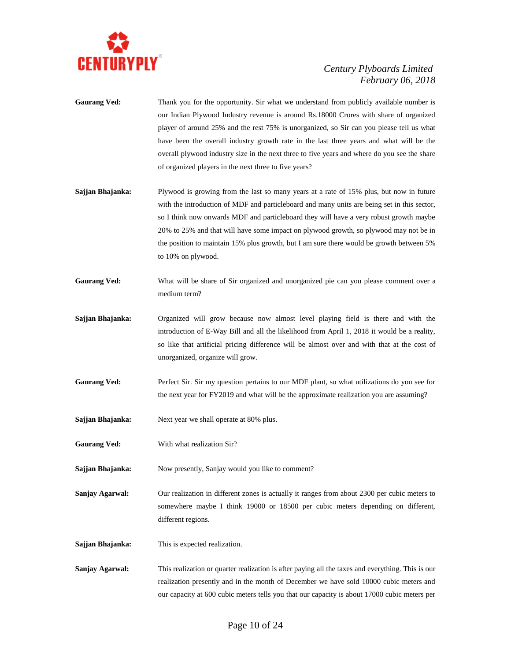

- **Gaurang Ved:** Thank you for the opportunity. Sir what we understand from publicly available number is our Indian Plywood Industry revenue is around Rs.18000 Crores with share of organized player of around 25% and the rest 75% is unorganized, so Sir can you please tell us what have been the overall industry growth rate in the last three years and what will be the overall plywood industry size in the next three to five years and where do you see the share of organized players in the next three to five years?
- **Sajjan Bhajanka:** Plywood is growing from the last so many years at a rate of 15% plus, but now in future with the introduction of MDF and particleboard and many units are being set in this sector, so I think now onwards MDF and particleboard they will have a very robust growth maybe 20% to 25% and that will have some impact on plywood growth, so plywood may not be in the position to maintain 15% plus growth, but I am sure there would be growth between 5% to 10% on plywood.
- Gaurang Ved: What will be share of Sir organized and unorganized pie can you please comment over a medium term?
- **Sajjan Bhajanka:** Organized will grow because now almost level playing field is there and with the introduction of E-Way Bill and all the likelihood from April 1, 2018 it would be a reality, so like that artificial pricing difference will be almost over and with that at the cost of unorganized, organize will grow.
- **Gaurang Ved:** Perfect Sir. Sir my question pertains to our MDF plant, so what utilizations do you see for the next year for FY2019 and what will be the approximate realization you are assuming?
- **Sajjan Bhajanka:** Next year we shall operate at 80% plus.
- Gaurang Ved: With what realization Sir?

**Sajjan Bhajanka:** Now presently, Sanjay would you like to comment?

**Sanjay Agarwal:** Our realization in different zones is actually it ranges from about 2300 per cubic meters to somewhere maybe I think 19000 or 18500 per cubic meters depending on different, different regions.

**Sajjan Bhajanka:** This is expected realization.

**Sanjay Agarwal:** This realization or quarter realization is after paying all the taxes and everything. This is our realization presently and in the month of December we have sold 10000 cubic meters and our capacity at 600 cubic meters tells you that our capacity is about 17000 cubic meters per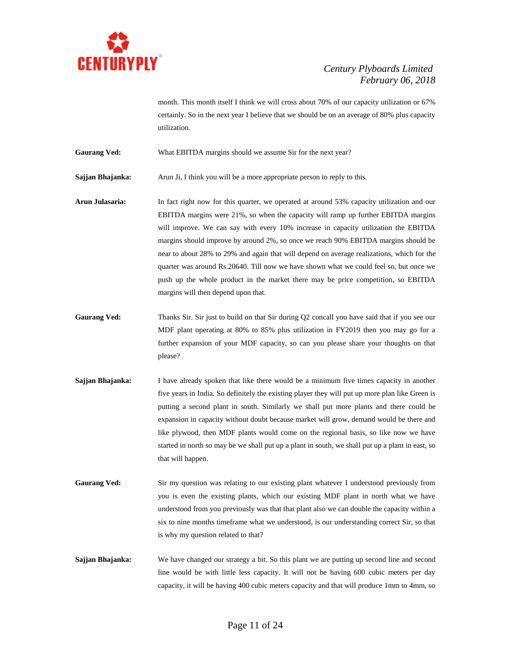

month. This month itself I think we will cross about 70% of our capacity utilization or 67% certainly. So in the next year I believe that we should be on an average of 80% plus capacity utilization.

Gaurang Ved: What EBITDA margins should we assume Sir for the next year?

**Sajjan Bhajanka:** Arun Ji, I think you will be a more appropriate person to reply to this.

- **Arun Julasaria:** In fact right now for this quarter, we operated at around 53% capacity utilization and our EBITDA margins were 21%, so when the capacity will ramp up further EBITDA margins will improve. We can say with every 10% increase in capacity utilization the EBITDA margins should improve by around 2%, so once we reach 90% EBITDA margins should be near to about 28% to 29% and again that will depend on average realizations, which for the quarter was around Rs.20640. Till now we have shown what we could feel so, but once we push up the whole product in the market there may be price competition, so EBITDA margins will then depend upon that.
- Gaurang Ved: Thanks Sir. Sir just to build on that Sir during Q2 concall you have said that if you see our MDF plant operating at 80% to 85% plus utilization in FY2019 then you may go for a further expansion of your MDF capacity, so can you please share your thoughts on that please?
- **Sajjan Bhajanka:** I have already spoken that like there would be a minimum five times capacity in another five years in India. So definitely the existing player they will put up more plan like Green is putting a second plant in south. Similarly we shall put more plants and there could be expansion in capacity without doubt because market will grow, demand would be there and like plywood, then MDF plants would come on the regional basis, so like now we have started in north so may be we shall put up a plant in south, we shall put up a plant in east, so that will happen.
- **Gaurang Ved:** Sir my question was relating to our existing plant whatever I understood previously from you is even the existing plants, which our existing MDF plant in north what we have understood from you previously was that that plant also we can double the capacity within a six to nine months timeframe what we understood, is our understanding correct Sir, so that is why my question related to that?
- **Sajjan Bhajanka:** We have changed our strategy a bit. So this plant we are putting up second line and second line would be with little less capacity. It will not be having 600 cubic meters per day capacity, it will be having 400 cubic meters capacity and that will produce 1mm to 4mm, so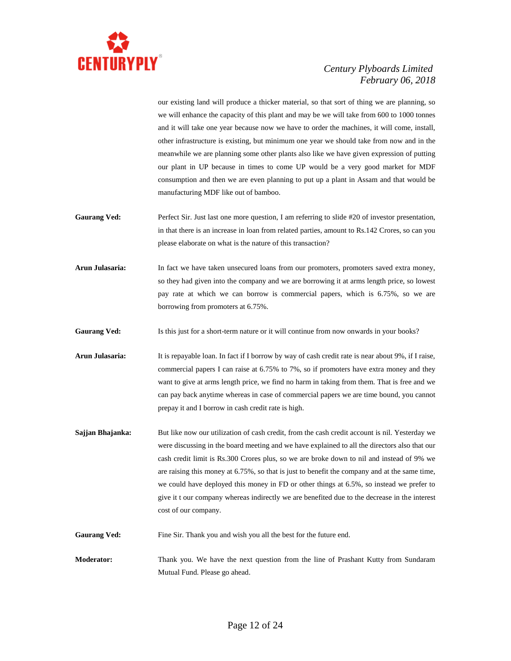

our existing land will produce a thicker material, so that sort of thing we are planning, so we will enhance the capacity of this plant and may be we will take from 600 to 1000 tonnes and it will take one year because now we have to order the machines, it will come, install, other infrastructure is existing, but minimum one year we should take from now and in the meanwhile we are planning some other plants also like we have given expression of putting our plant in UP because in times to come UP would be a very good market for MDF consumption and then we are even planning to put up a plant in Assam and that would be manufacturing MDF like out of bamboo.

- Gaurang Ved: Perfect Sir. Just last one more question, I am referring to slide #20 of investor presentation, in that there is an increase in loan from related parties, amount to Rs.142 Crores, so can you please elaborate on what is the nature of this transaction?
- **Arun Julasaria:** In fact we have taken unsecured loans from our promoters, promoters saved extra money, so they had given into the company and we are borrowing it at arms length price, so lowest pay rate at which we can borrow is commercial papers, which is 6.75%, so we are borrowing from promoters at 6.75%.

Gaurang Ved: Is this just for a short-term nature or it will continue from now onwards in your books?

**Arun Julasaria:** It is repayable loan. In fact if I borrow by way of cash credit rate is near about 9%, if I raise, commercial papers I can raise at 6.75% to 7%, so if promoters have extra money and they want to give at arms length price, we find no harm in taking from them. That is free and we can pay back anytime whereas in case of commercial papers we are time bound, you cannot prepay it and I borrow in cash credit rate is high.

**Sajjan Bhajanka:** But like now our utilization of cash credit, from the cash credit account is nil. Yesterday we were discussing in the board meeting and we have explained to all the directors also that our cash credit limit is Rs.300 Crores plus, so we are broke down to nil and instead of 9% we are raising this money at 6.75%, so that is just to benefit the company and at the same time, we could have deployed this money in FD or other things at 6.5%, so instead we prefer to give it t our company whereas indirectly we are benefited due to the decrease in the interest cost of our company.

**Gaurang Ved:** Fine Sir. Thank you and wish you all the best for the future end.

**Moderator:** Thank you. We have the next question from the line of Prashant Kutty from Sundaram Mutual Fund. Please go ahead.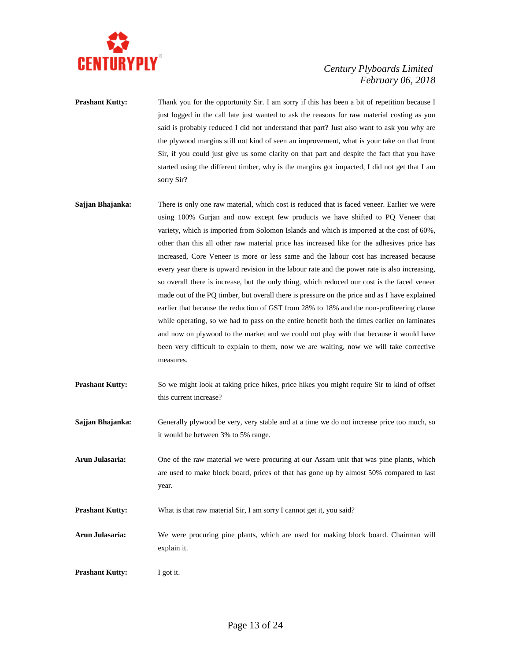

**Prashant Kutty:** Thank you for the opportunity Sir. I am sorry if this has been a bit of repetition because I just logged in the call late just wanted to ask the reasons for raw material costing as you said is probably reduced I did not understand that part? Just also want to ask you why are the plywood margins still not kind of seen an improvement, what is your take on that front Sir, if you could just give us some clarity on that part and despite the fact that you have started using the different timber, why is the margins got impacted, I did not get that I am sorry Sir?

- **Sajjan Bhajanka:** There is only one raw material, which cost is reduced that is faced veneer. Earlier we were using 100% Gurjan and now except few products we have shifted to PQ Veneer that variety, which is imported from Solomon Islands and which is imported at the cost of 60%, other than this all other raw material price has increased like for the adhesives price has increased, Core Veneer is more or less same and the labour cost has increased because every year there is upward revision in the labour rate and the power rate is also increasing, so overall there is increase, but the only thing, which reduced our cost is the faced veneer made out of the PQ timber, but overall there is pressure on the price and as I have explained earlier that because the reduction of GST from 28% to 18% and the non-profiteering clause while operating, so we had to pass on the entire benefit both the times earlier on laminates and now on plywood to the market and we could not play with that because it would have been very difficult to explain to them, now we are waiting, now we will take corrective measures.
- **Prashant Kutty:** So we might look at taking price hikes, price hikes you might require Sir to kind of offset this current increase?
- **Sajjan Bhajanka:** Generally plywood be very, very stable and at a time we do not increase price too much, so it would be between 3% to 5% range.
- **Arun Julasaria:** One of the raw material we were procuring at our Assam unit that was pine plants, which are used to make block board, prices of that has gone up by almost 50% compared to last year.
- **Prashant Kutty:** What is that raw material Sir, I am sorry I cannot get it, you said?
- **Arun Julasaria:** We were procuring pine plants, which are used for making block board. Chairman will explain it.
- **Prashant Kutty:** I got it.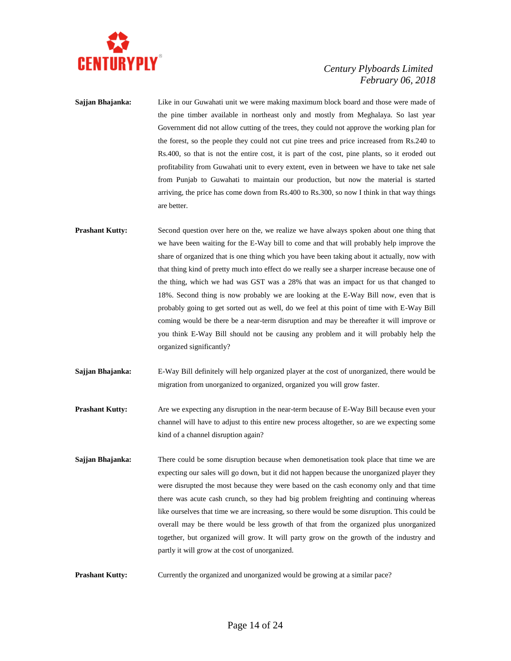

- **Sajjan Bhajanka:** Like in our Guwahati unit we were making maximum block board and those were made of the pine timber available in northeast only and mostly from Meghalaya. So last year Government did not allow cutting of the trees, they could not approve the working plan for the forest, so the people they could not cut pine trees and price increased from Rs.240 to Rs.400, so that is not the entire cost, it is part of the cost, pine plants, so it eroded out profitability from Guwahati unit to every extent, even in between we have to take net sale from Punjab to Guwahati to maintain our production, but now the material is started arriving, the price has come down from Rs.400 to Rs.300, so now I think in that way things are better.
- **Prashant Kutty:** Second question over here on the, we realize we have always spoken about one thing that we have been waiting for the E-Way bill to come and that will probably help improve the share of organized that is one thing which you have been taking about it actually, now with that thing kind of pretty much into effect do we really see a sharper increase because one of the thing, which we had was GST was a 28% that was an impact for us that changed to 18%. Second thing is now probably we are looking at the E-Way Bill now, even that is probably going to get sorted out as well, do we feel at this point of time with E-Way Bill coming would be there be a near-term disruption and may be thereafter it will improve or you think E-Way Bill should not be causing any problem and it will probably help the organized significantly?
- **Sajjan Bhajanka:** E-Way Bill definitely will help organized player at the cost of unorganized, there would be migration from unorganized to organized, organized you will grow faster.
- **Prashant Kutty:** Are we expecting any disruption in the near-term because of E-Way Bill because even your channel will have to adjust to this entire new process altogether, so are we expecting some kind of a channel disruption again?
- **Sajjan Bhajanka:** There could be some disruption because when demonetisation took place that time we are expecting our sales will go down, but it did not happen because the unorganized player they were disrupted the most because they were based on the cash economy only and that time there was acute cash crunch, so they had big problem freighting and continuing whereas like ourselves that time we are increasing, so there would be some disruption. This could be overall may be there would be less growth of that from the organized plus unorganized together, but organized will grow. It will party grow on the growth of the industry and partly it will grow at the cost of unorganized.
- **Prashant Kutty:** Currently the organized and unorganized would be growing at a similar pace?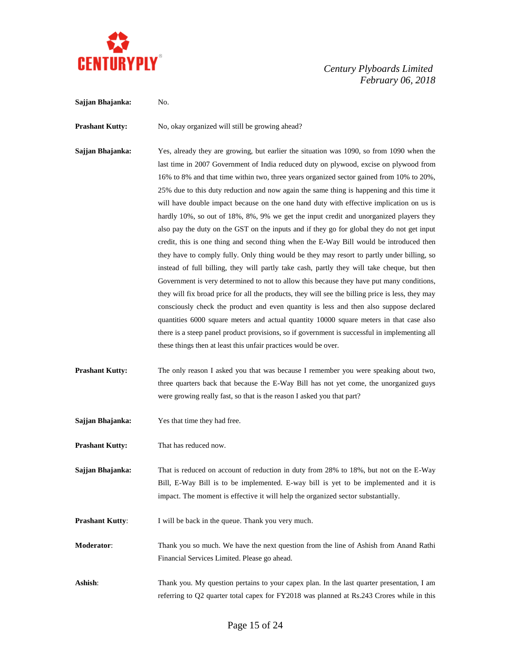

**Sajjan Bhajanka:** No.

**Prashant Kutty:** No, okay organized will still be growing ahead?

**Sajjan Bhajanka:** Yes, already they are growing, but earlier the situation was 1090, so from 1090 when the last time in 2007 Government of India reduced duty on plywood, excise on plywood from 16% to 8% and that time within two, three years organized sector gained from 10% to 20%, 25% due to this duty reduction and now again the same thing is happening and this time it will have double impact because on the one hand duty with effective implication on us is hardly 10%, so out of 18%, 8%, 9% we get the input credit and unorganized players they also pay the duty on the GST on the inputs and if they go for global they do not get input credit, this is one thing and second thing when the E-Way Bill would be introduced then they have to comply fully. Only thing would be they may resort to partly under billing, so instead of full billing, they will partly take cash, partly they will take cheque, but then Government is very determined to not to allow this because they have put many conditions, they will fix broad price for all the products, they will see the billing price is less, they may consciously check the product and even quantity is less and then also suppose declared quantities 6000 square meters and actual quantity 10000 square meters in that case also there is a steep panel product provisions, so if government is successful in implementing all these things then at least this unfair practices would be over.

- **Prashant Kutty:** The only reason I asked you that was because I remember you were speaking about two, three quarters back that because the E-Way Bill has not yet come, the unorganized guys were growing really fast, so that is the reason I asked you that part?
- **Sajjan Bhajanka:** Yes that time they had free.

**Prashant Kutty:** That has reduced now.

**Sajjan Bhajanka:** That is reduced on account of reduction in duty from 28% to 18%, but not on the E-Way Bill, E-Way Bill is to be implemented. E-way bill is yet to be implemented and it is impact. The moment is effective it will help the organized sector substantially.

**Prashant Kutty:** I will be back in the queue. Thank you very much.

**Moderator**: Thank you so much. We have the next question from the line of Ashish from Anand Rathi Financial Services Limited. Please go ahead.

**Ashish:** Thank you. My question pertains to your capex plan. In the last quarter presentation, I am referring to Q2 quarter total capex for FY2018 was planned at Rs.243 Crores while in this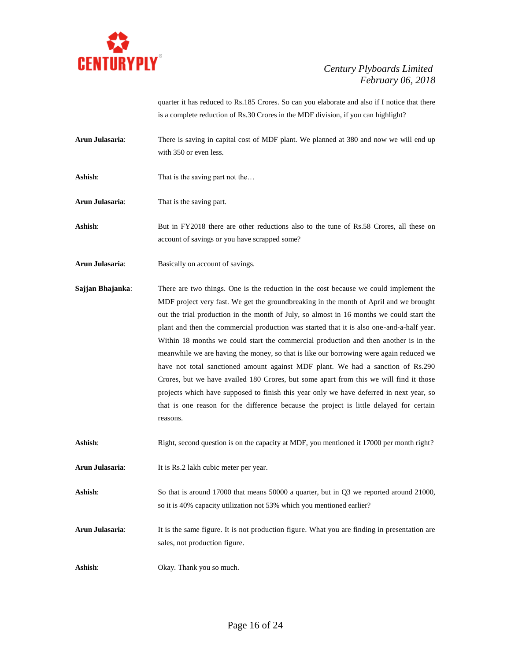

quarter it has reduced to Rs.185 Crores. So can you elaborate and also if I notice that there is a complete reduction of Rs.30 Crores in the MDF division, if you can highlight?

- **Arun Julasaria**: There is saving in capital cost of MDF plant. We planned at 380 and now we will end up with 350 or even less.
- **Ashish:** That is the saving part not the...

**Arun Julasaria**: That is the saving part.

Ashish: But in FY2018 there are other reductions also to the tune of Rs.58 Crores, all these on account of savings or you have scrapped some?

- **Arun Julasaria**: Basically on account of savings.
- **Sajjan Bhajanka**: There are two things. One is the reduction in the cost because we could implement the MDF project very fast. We get the groundbreaking in the month of April and we brought out the trial production in the month of July, so almost in 16 months we could start the plant and then the commercial production was started that it is also one-and-a-half year. Within 18 months we could start the commercial production and then another is in the meanwhile we are having the money, so that is like our borrowing were again reduced we have not total sanctioned amount against MDF plant. We had a sanction of Rs.290 Crores, but we have availed 180 Crores, but some apart from this we will find it those projects which have supposed to finish this year only we have deferred in next year, so that is one reason for the difference because the project is little delayed for certain reasons.

Ashish: Right, second question is on the capacity at MDF, you mentioned it 17000 per month right?

**Arun Julasaria**: It is Rs.2 lakh cubic meter per year.

Ashish: So that is around 17000 that means 50000 a quarter, but in Q3 we reported around 21000, so it is 40% capacity utilization not 53% which you mentioned earlier?

**Arun Julasaria**: It is the same figure. It is not production figure. What you are finding in presentation are sales, not production figure.

**Ashish**: Okay. Thank you so much.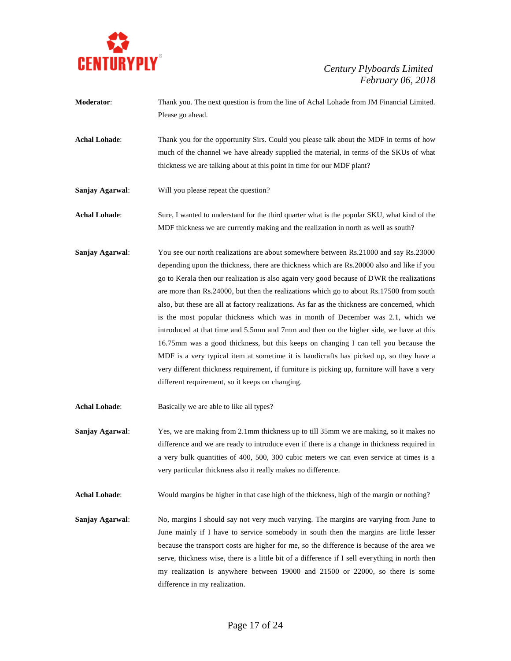

- **Moderator**: Thank you. The next question is from the line of Achal Lohade from JM Financial Limited. Please go ahead.
- **Achal Lohade**: Thank you for the opportunity Sirs. Could you please talk about the MDF in terms of how much of the channel we have already supplied the material, in terms of the SKUs of what thickness we are talking about at this point in time for our MDF plant?
- **Sanjay Agarwal**: Will you please repeat the question?

**Achal Lohade**: Sure, I wanted to understand for the third quarter what is the popular SKU, what kind of the MDF thickness we are currently making and the realization in north as well as south?

**Sanjay Agarwal**: You see our north realizations are about somewhere between Rs.21000 and say Rs.23000 depending upon the thickness, there are thickness which are Rs.20000 also and like if you go to Kerala then our realization is also again very good because of DWR the realizations are more than Rs.24000, but then the realizations which go to about Rs.17500 from south also, but these are all at factory realizations. As far as the thickness are concerned, which is the most popular thickness which was in month of December was 2.1, which we introduced at that time and 5.5mm and 7mm and then on the higher side, we have at this 16.75mm was a good thickness, but this keeps on changing I can tell you because the MDF is a very typical item at sometime it is handicrafts has picked up, so they have a very different thickness requirement, if furniture is picking up, furniture will have a very different requirement, so it keeps on changing.

**Achal Lohade**: Basically we are able to like all types?

**Sanjay Agarwal**: Yes, we are making from 2.1mm thickness up to till 35mm we are making, so it makes no difference and we are ready to introduce even if there is a change in thickness required in a very bulk quantities of 400, 500, 300 cubic meters we can even service at times is a very particular thickness also it really makes no difference.

Achal Lohade: Would margins be higher in that case high of the thickness, high of the margin or nothing?

**Sanjay Agarwal**: No, margins I should say not very much varying. The margins are varying from June to June mainly if I have to service somebody in south then the margins are little lesser because the transport costs are higher for me, so the difference is because of the area we serve, thickness wise, there is a little bit of a difference if I sell everything in north then my realization is anywhere between 19000 and 21500 or 22000, so there is some difference in my realization.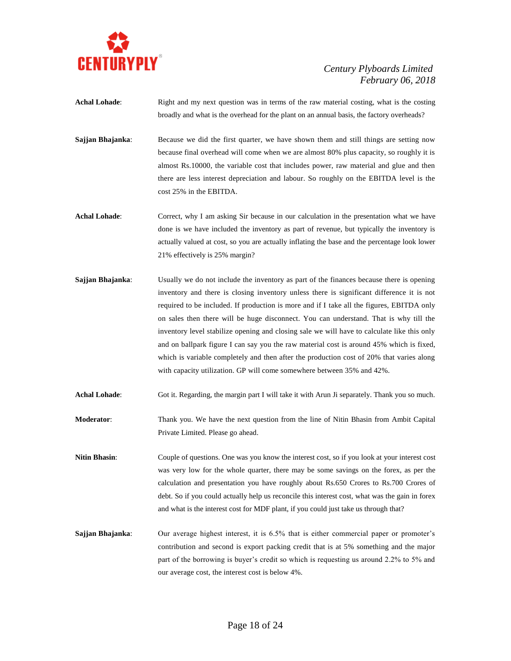

- **Achal Lohade:** Right and my next question was in terms of the raw material costing, what is the costing broadly and what is the overhead for the plant on an annual basis, the factory overheads?
- **Sajjan Bhajanka:** Because we did the first quarter, we have shown them and still things are setting now because final overhead will come when we are almost 80% plus capacity, so roughly it is almost Rs.10000, the variable cost that includes power, raw material and glue and then there are less interest depreciation and labour. So roughly on the EBITDA level is the cost 25% in the EBITDA.
- Achal Lohade: Correct, why I am asking Sir because in our calculation in the presentation what we have done is we have included the inventory as part of revenue, but typically the inventory is actually valued at cost, so you are actually inflating the base and the percentage look lower 21% effectively is 25% margin?
- **Sajjan Bhajanka**: Usually we do not include the inventory as part of the finances because there is opening inventory and there is closing inventory unless there is significant difference it is not required to be included. If production is more and if I take all the figures, EBITDA only on sales then there will be huge disconnect. You can understand. That is why till the inventory level stabilize opening and closing sale we will have to calculate like this only and on ballpark figure I can say you the raw material cost is around 45% which is fixed, which is variable completely and then after the production cost of 20% that varies along with capacity utilization. GP will come somewhere between 35% and 42%.
- **Achal Lohade**: Got it. Regarding, the margin part I will take it with Arun Ji separately. Thank you so much.
- **Moderator**: Thank you. We have the next question from the line of Nitin Bhasin from Ambit Capital Private Limited. Please go ahead.
- **Nitin Bhasin:** Couple of questions. One was you know the interest cost, so if you look at your interest cost was very low for the whole quarter, there may be some savings on the forex, as per the calculation and presentation you have roughly about Rs.650 Crores to Rs.700 Crores of debt. So if you could actually help us reconcile this interest cost, what was the gain in forex and what is the interest cost for MDF plant, if you could just take us through that?
- **Sajjan Bhajanka**: Our average highest interest, it is 6.5% that is either commercial paper or promoter's contribution and second is export packing credit that is at 5% something and the major part of the borrowing is buyer's credit so which is requesting us around 2.2% to 5% and our average cost, the interest cost is below 4%.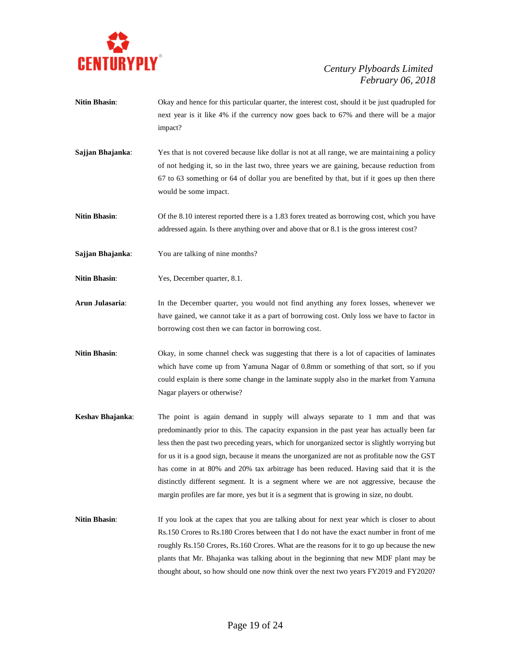

- **Nitin Bhasin:** Okay and hence for this particular quarter, the interest cost, should it be just quadrupled for next year is it like 4% if the currency now goes back to 67% and there will be a major impact?
- **Sajjan Bhajanka:** Yes that is not covered because like dollar is not at all range, we are maintaining a policy of not hedging it, so in the last two, three years we are gaining, because reduction from 67 to 63 something or 64 of dollar you are benefited by that, but if it goes up then there would be some impact.
- **Nitin Bhasin**: Of the 8.10 interest reported there is a 1.83 forex treated as borrowing cost, which you have addressed again. Is there anything over and above that or 8.1 is the gross interest cost?
- **Sajjan Bhajanka**: You are talking of nine months?
- **Nitin Bhasin**: Yes, December quarter, 8.1.
- **Arun Julasaria**: In the December quarter, you would not find anything any forex losses, whenever we have gained, we cannot take it as a part of borrowing cost. Only loss we have to factor in borrowing cost then we can factor in borrowing cost.
- Nitin Bhasin: Okay, in some channel check was suggesting that there is a lot of capacities of laminates which have come up from Yamuna Nagar of 0.8mm or something of that sort, so if you could explain is there some change in the laminate supply also in the market from Yamuna Nagar players or otherwise?
- **Keshav Bhajanka**: The point is again demand in supply will always separate to 1 mm and that was predominantly prior to this. The capacity expansion in the past year has actually been far less then the past two preceding years, which for unorganized sector is slightly worrying but for us it is a good sign, because it means the unorganized are not as profitable now the GST has come in at 80% and 20% tax arbitrage has been reduced. Having said that it is the distinctly different segment. It is a segment where we are not aggressive, because the margin profiles are far more, yes but it is a segment that is growing in size, no doubt.
- **Nitin Bhasin:** If you look at the capex that you are talking about for next year which is closer to about Rs.150 Crores to Rs.180 Crores between that I do not have the exact number in front of me roughly Rs.150 Crores, Rs.160 Crores. What are the reasons for it to go up because the new plants that Mr. Bhajanka was talking about in the beginning that new MDF plant may be thought about, so how should one now think over the next two years FY2019 and FY2020?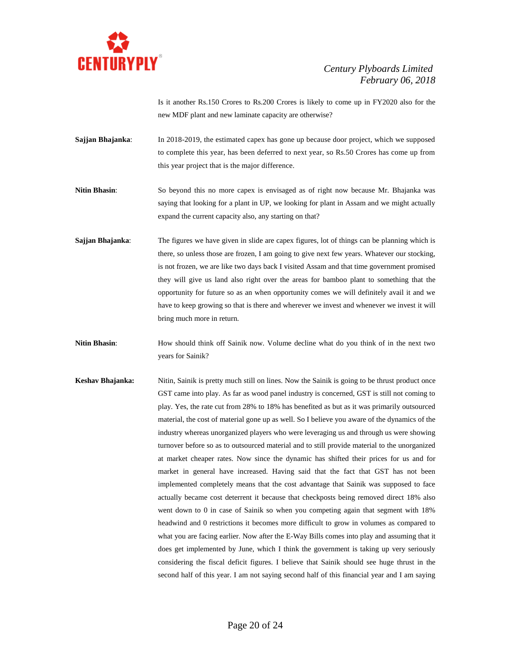

Is it another Rs.150 Crores to Rs.200 Crores is likely to come up in FY2020 also for the new MDF plant and new laminate capacity are otherwise?

- **Sajjan Bhajanka:** In 2018-2019, the estimated capex has gone up because door project, which we supposed to complete this year, has been deferred to next year, so Rs.50 Crores has come up from this year project that is the major difference.
- **Nitin Bhasin**: So beyond this no more capex is envisaged as of right now because Mr. Bhajanka was saying that looking for a plant in UP, we looking for plant in Assam and we might actually expand the current capacity also, any starting on that?
- **Sajjan Bhajanka**: The figures we have given in slide are capex figures, lot of things can be planning which is there, so unless those are frozen, I am going to give next few years. Whatever our stocking, is not frozen, we are like two days back I visited Assam and that time government promised they will give us land also right over the areas for bamboo plant to something that the opportunity for future so as an when opportunity comes we will definitely avail it and we have to keep growing so that is there and wherever we invest and whenever we invest it will bring much more in return.
- **Nitin Bhasin:** How should think off Sainik now. Volume decline what do you think of in the next two years for Sainik?
- **Keshav Bhajanka:** Nitin, Sainik is pretty much still on lines. Now the Sainik is going to be thrust product once GST came into play. As far as wood panel industry is concerned, GST is still not coming to play. Yes, the rate cut from 28% to 18% has benefited as but as it was primarily outsourced material, the cost of material gone up as well. So I believe you aware of the dynamics of the industry whereas unorganized players who were leveraging us and through us were showing turnover before so as to outsourced material and to still provide material to the unorganized at market cheaper rates. Now since the dynamic has shifted their prices for us and for market in general have increased. Having said that the fact that GST has not been implemented completely means that the cost advantage that Sainik was supposed to face actually became cost deterrent it because that checkposts being removed direct 18% also went down to 0 in case of Sainik so when you competing again that segment with 18% headwind and 0 restrictions it becomes more difficult to grow in volumes as compared to what you are facing earlier. Now after the E-Way Bills comes into play and assuming that it does get implemented by June, which I think the government is taking up very seriously considering the fiscal deficit figures. I believe that Sainik should see huge thrust in the second half of this year. I am not saying second half of this financial year and I am saying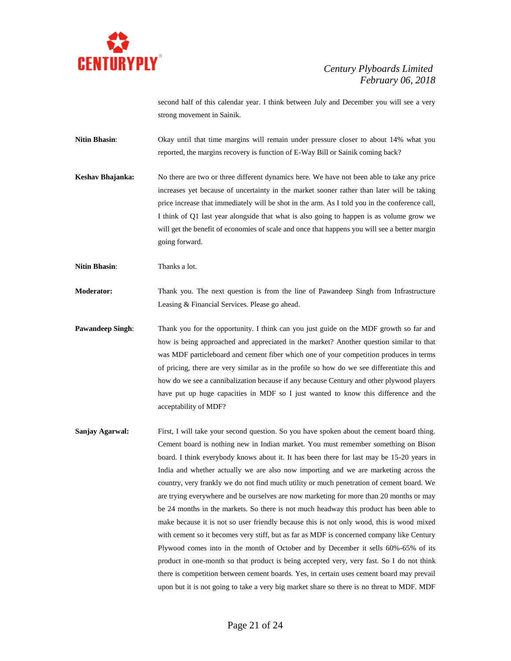

second half of this calendar year. I think between July and December you will see a very strong movement in Sainik.

**Nitin Bhasin:** Okay until that time margins will remain under pressure closer to about 14% what you reported, the margins recovery is function of E-Way Bill or Sainik coming back?

**Keshav Bhajanka:** No there are two or three different dynamics here. We have not been able to take any price increases yet because of uncertainty in the market sooner rather than later will be taking price increase that immediately will be shot in the arm. As I told you in the conference call, I think of Q1 last year alongside that what is also going to happen is as volume grow we will get the benefit of economies of scale and once that happens you will see a better margin going forward.

**Nitin Bhasin:** Thanks a lot.

**Moderator:** Thank you. The next question is from the line of Pawandeep Singh from Infrastructure Leasing & Financial Services. Please go ahead.

- **Pawandeep Singh:** Thank you for the opportunity. I think can you just guide on the MDF growth so far and how is being approached and appreciated in the market? Another question similar to that was MDF particleboard and cement fiber which one of your competition produces in terms of pricing, there are very similar as in the profile so how do we see differentiate this and how do we see a cannibalization because if any because Century and other plywood players have put up huge capacities in MDF so I just wanted to know this difference and the acceptability of MDF?
- **Sanjay Agarwal:** First, I will take your second question. So you have spoken about the cement board thing. Cement board is nothing new in Indian market. You must remember something on Bison board. I think everybody knows about it. It has been there for last may be 15-20 years in India and whether actually we are also now importing and we are marketing across the country, very frankly we do not find much utility or much penetration of cement board. We are trying everywhere and be ourselves are now marketing for more than 20 months or may be 24 months in the markets. So there is not much headway this product has been able to make because it is not so user friendly because this is not only wood, this is wood mixed with cement so it becomes very stiff, but as far as MDF is concerned company like Century Plywood comes into in the month of October and by December it sells 60%-65% of its product in one-month so that product is being accepted very, very fast. So I do not think there is competition between cement boards. Yes, in certain uses cement board may prevail upon but it is not going to take a very big market share so there is no threat to MDF. MDF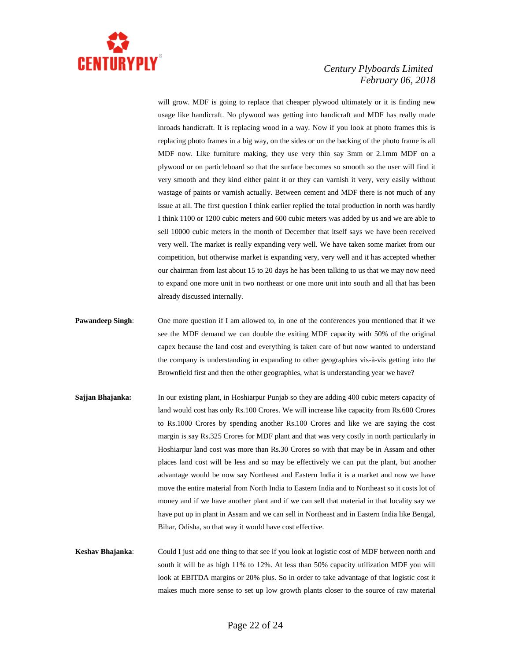

will grow. MDF is going to replace that cheaper plywood ultimately or it is finding new usage like handicraft. No plywood was getting into handicraft and MDF has really made inroads handicraft. It is replacing wood in a way. Now if you look at photo frames this is replacing photo frames in a big way, on the sides or on the backing of the photo frame is all MDF now. Like furniture making, they use very thin say 3mm or 2.1mm MDF on a plywood or on particleboard so that the surface becomes so smooth so the user will find it very smooth and they kind either paint it or they can varnish it very, very easily without wastage of paints or varnish actually. Between cement and MDF there is not much of any issue at all. The first question I think earlier replied the total production in north was hardly I think 1100 or 1200 cubic meters and 600 cubic meters was added by us and we are able to sell 10000 cubic meters in the month of December that itself says we have been received very well. The market is really expanding very well. We have taken some market from our competition, but otherwise market is expanding very, very well and it has accepted whether our chairman from last about 15 to 20 days he has been talking to us that we may now need to expand one more unit in two northeast or one more unit into south and all that has been already discussed internally.

- **Pawandeep Singh:** One more question if I am allowed to, in one of the conferences you mentioned that if we see the MDF demand we can double the exiting MDF capacity with 50% of the original capex because the land cost and everything is taken care of but now wanted to understand the company is understanding in expanding to other geographies vis-à-vis getting into the Brownfield first and then the other geographies, what is understanding year we have?
- **Sajjan Bhajanka:** In our existing plant, in Hoshiarpur Punjab so they are adding 400 cubic meters capacity of land would cost has only Rs.100 Crores. We will increase like capacity from Rs.600 Crores to Rs.1000 Crores by spending another Rs.100 Crores and like we are saying the cost margin is say Rs.325 Crores for MDF plant and that was very costly in north particularly in Hoshiarpur land cost was more than Rs.30 Crores so with that may be in Assam and other places land cost will be less and so may be effectively we can put the plant, but another advantage would be now say Northeast and Eastern India it is a market and now we have move the entire material from North India to Eastern India and to Northeast so it costs lot of money and if we have another plant and if we can sell that material in that locality say we have put up in plant in Assam and we can sell in Northeast and in Eastern India like Bengal, Bihar, Odisha, so that way it would have cost effective.

**Keshav Bhajanka**: Could I just add one thing to that see if you look at logistic cost of MDF between north and south it will be as high 11% to 12%. At less than 50% capacity utilization MDF you will look at EBITDA margins or 20% plus. So in order to take advantage of that logistic cost it makes much more sense to set up low growth plants closer to the source of raw material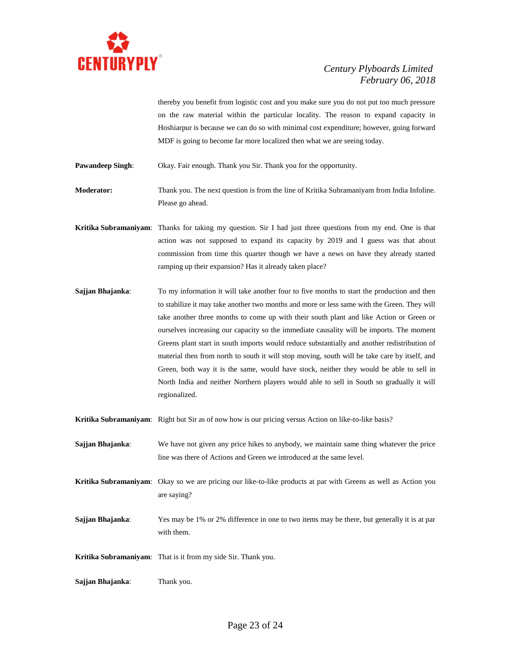

thereby you benefit from logistic cost and you make sure you do not put too much pressure on the raw material within the particular locality. The reason to expand capacity in Hoshiarpur is because we can do so with minimal cost expenditure; however, going forward MDF is going to become far more localized then what we are seeing today.

**Pawandeep Singh:** Okay. Fair enough. Thank you Sir. Thank you for the opportunity.

**Moderator:** Thank you. The next question is from the line of Kritika Subramaniyam from India Infoline. Please go ahead.

- **Kritika Subramaniyam**: Thanks for taking my question. Sir I had just three questions from my end. One is that action was not supposed to expand its capacity by 2019 and I guess was that about commission from time this quarter though we have a news on have they already started ramping up their expansion? Has it already taken place?
- **Sajjan Bhajanka:** To my information it will take another four to five months to start the production and then to stabilize it may take another two months and more or less same with the Green. They will take another three months to come up with their south plant and like Action or Green or ourselves increasing our capacity so the immediate causality will be imports. The moment Greens plant start in south imports would reduce substantially and another redistribution of material then from north to south it will stop moving, south will be take care by itself, and Green, both way it is the same, would have stock, neither they would be able to sell in North India and neither Northern players would able to sell in South so gradually it will regionalized.

**Kritika Subramaniyam**: Right but Sir as of now how is our pricing versus Action on like-to-like basis?

- **Sajjan Bhajanka**: We have not given any price hikes to anybody, we maintain same thing whatever the price line was there of Actions and Green we introduced at the same level.
- **Kritika Subramaniyam**: Okay so we are pricing our like-to-like products at par with Greens as well as Action you are saying?
- **Sajjan Bhajanka**: Yes may be 1% or 2% difference in one to two items may be there, but generally it is at par with them.

**Kritika Subramaniyam**: That is it from my side Sir. Thank you.

**Sajjan Bhajanka**: Thank you.